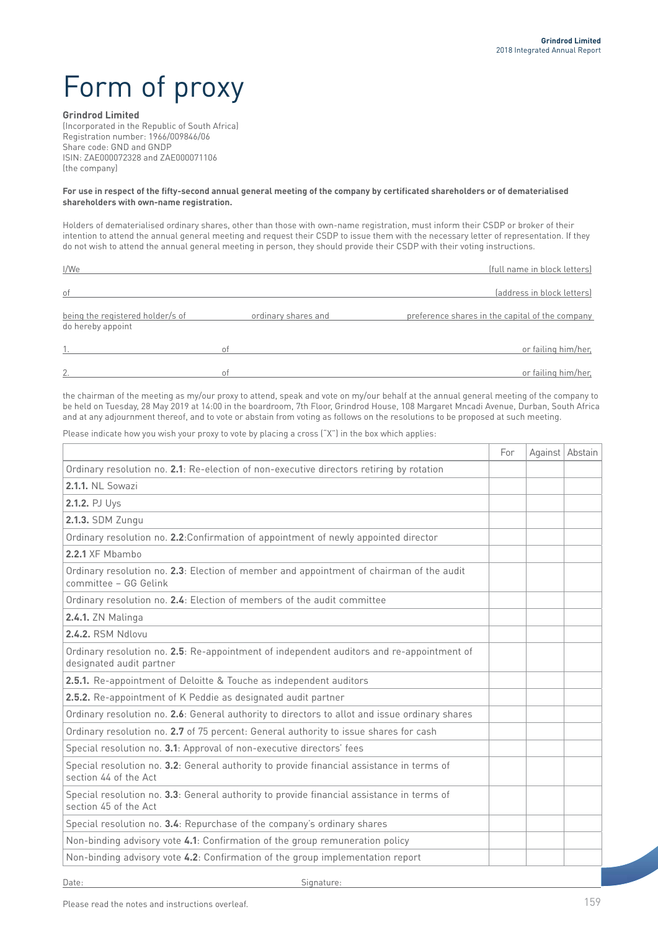# Form of proxy

### **Grindrod Limited**

(Incorporated in the Republic of South Africa) Registration number: 1966/009846/06 Share code: GND and GNDP ISIN: ZAE000072328 and ZAE000071106 (the company)

#### **For use in respect of the fifty-second annual general meeting of the company by certificated shareholders or of dematerialised shareholders with own-name registration.**

Holders of dematerialised ordinary shares, other than those with own-name registration, must inform their CSDP or broker of their intention to attend the annual general meeting and request their CSDP to issue them with the necessary letter of representation. If they do not wish to attend the annual general meeting in person, they should provide their CSDP with their voting instructions.

| I/We                                                  |                     | (full name in block letters)                    |  |
|-------------------------------------------------------|---------------------|-------------------------------------------------|--|
| of                                                    |                     | (address in block letters)                      |  |
| being the registered holder/s of<br>do hereby appoint | ordinary shares and | preference shares in the capital of the company |  |
|                                                       | οt                  | or failing him/her,                             |  |
| 2.                                                    | 01                  | or failing him/her,                             |  |

the chairman of the meeting as my/our proxy to attend, speak and vote on my/our behalf at the annual general meeting of the company to be held on Tuesday, 28 May 2019 at 14:00 in the boardroom, 7th Floor, Grindrod House, 108 Margaret Mncadi Avenue, Durban, South Africa and at any adjournment thereof, and to vote or abstain from voting as follows on the resolutions to be proposed at such meeting.

Please indicate how you wish your proxy to vote by placing a cross ("X") in the box which applies:

|                                                                                                                       | For | Against Abstain |
|-----------------------------------------------------------------------------------------------------------------------|-----|-----------------|
| Ordinary resolution no. 2.1: Re-election of non-executive directors retiring by rotation                              |     |                 |
| <b>2.1.1. NL Sowazi</b>                                                                                               |     |                 |
| 2.1.2. PJ Uys                                                                                                         |     |                 |
| 2.1.3. SDM Zungu                                                                                                      |     |                 |
| Ordinary resolution no. 2.2: Confirmation of appointment of newly appointed director                                  |     |                 |
| 2.2.1 XF Mbambo                                                                                                       |     |                 |
| Ordinary resolution no. 2.3: Election of member and appointment of chairman of the audit<br>committee - GG Gelink     |     |                 |
| Ordinary resolution no. 2.4: Election of members of the audit committee                                               |     |                 |
| <b>2.4.1.</b> ZN Malinga                                                                                              |     |                 |
| 2.4.2. RSM Ndlovu                                                                                                     |     |                 |
| Ordinary resolution no. 2.5: Re-appointment of independent auditors and re-appointment of<br>designated audit partner |     |                 |
| 2.5.1. Re-appointment of Deloitte & Touche as independent auditors                                                    |     |                 |
| 2.5.2. Re-appointment of K Peddie as designated audit partner                                                         |     |                 |
| Ordinary resolution no. 2.6: General authority to directors to allot and issue ordinary shares                        |     |                 |
| Ordinary resolution no. 2.7 of 75 percent: General authority to issue shares for cash                                 |     |                 |
| Special resolution no. 3.1: Approval of non-executive directors' fees                                                 |     |                 |
| Special resolution no. 3.2: General authority to provide financial assistance in terms of<br>section 44 of the Act    |     |                 |
| Special resolution no. 3.3: General authority to provide financial assistance in terms of<br>section 45 of the Act    |     |                 |
| Special resolution no. 3.4: Repurchase of the company's ordinary shares                                               |     |                 |
| Non-binding advisory vote 4.1: Confirmation of the group remuneration policy                                          |     |                 |
| Non-binding advisory vote 4.2: Confirmation of the group implementation report                                        |     |                 |

Date: Signature:

Please read the notes and instructions overleaf.